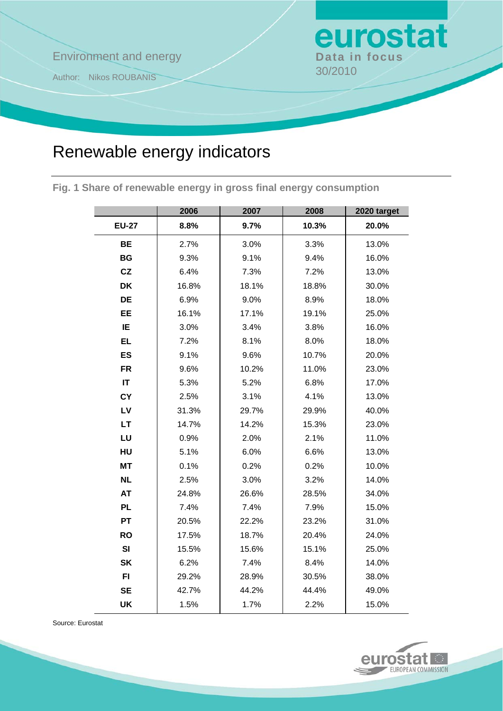# **Environment and energy Bata in focus**

Author: Nikos ROUBANIS 30/2010

# Renewable energy indicators

**Fig. 1 Share of renewable energy in gross final energy consumption** 

|              | 2006  | 2007  | 2008  | 2020 target |
|--------------|-------|-------|-------|-------------|
| <b>EU-27</b> | 8.8%  | 9.7%  | 10.3% | 20.0%       |
| BE           | 2.7%  | 3.0%  | 3.3%  | 13.0%       |
| <b>BG</b>    | 9.3%  | 9.1%  | 9.4%  | 16.0%       |
| CZ           | 6.4%  | 7.3%  | 7.2%  | 13.0%       |
| <b>DK</b>    | 16.8% | 18.1% | 18.8% | 30.0%       |
| DE           | 6.9%  | 9.0%  | 8.9%  | 18.0%       |
| EE           | 16.1% | 17.1% | 19.1% | 25.0%       |
| IE           | 3.0%  | 3.4%  | 3.8%  | 16.0%       |
| EL.          | 7.2%  | 8.1%  | 8.0%  | 18.0%       |
| <b>ES</b>    | 9.1%  | 9.6%  | 10.7% | 20.0%       |
| <b>FR</b>    | 9.6%  | 10.2% | 11.0% | 23.0%       |
| IT           | 5.3%  | 5.2%  | 6.8%  | 17.0%       |
| <b>CY</b>    | 2.5%  | 3.1%  | 4.1%  | 13.0%       |
| LV           | 31.3% | 29.7% | 29.9% | 40.0%       |
| <b>LT</b>    | 14.7% | 14.2% | 15.3% | 23.0%       |
| LU           | 0.9%  | 2.0%  | 2.1%  | 11.0%       |
| HU           | 5.1%  | 6.0%  | 6.6%  | 13.0%       |
| <b>MT</b>    | 0.1%  | 0.2%  | 0.2%  | 10.0%       |
| <b>NL</b>    | 2.5%  | 3.0%  | 3.2%  | 14.0%       |
| <b>AT</b>    | 24.8% | 26.6% | 28.5% | 34.0%       |
| <b>PL</b>    | 7.4%  | 7.4%  | 7.9%  | 15.0%       |
| PT           | 20.5% | 22.2% | 23.2% | 31.0%       |
| <b>RO</b>    | 17.5% | 18.7% | 20.4% | 24.0%       |
| SI           | 15.5% | 15.6% | 15.1% | 25.0%       |
| <b>SK</b>    | 6.2%  | 7.4%  | 8.4%  | 14.0%       |
| FI           | 29.2% | 28.9% | 30.5% | 38.0%       |
| <b>SE</b>    | 42.7% | 44.2% | 44.4% | 49.0%       |
| <b>UK</b>    | 1.5%  | 1.7%  | 2.2%  | 15.0%       |

Source: Eurostat



eurostat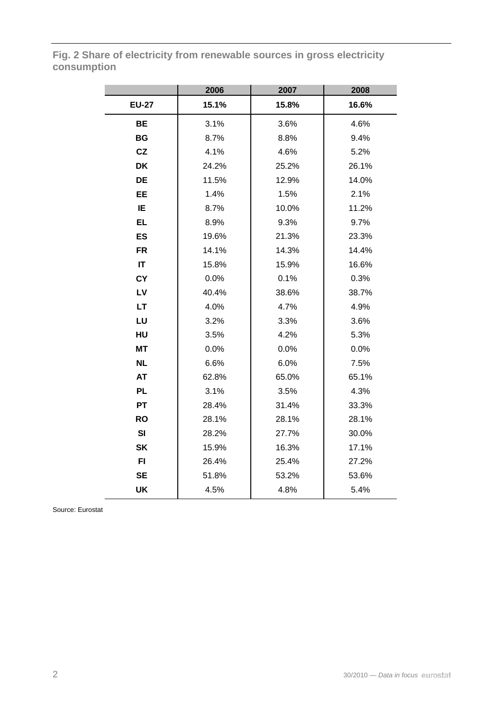**Fig. 2 Share of electricity from renewable sources in gross electricity consumption** 

|              | 2006  | 2007  | 2008  |
|--------------|-------|-------|-------|
| <b>EU-27</b> | 15.1% | 15.8% | 16.6% |
| <b>BE</b>    | 3.1%  | 3.6%  | 4.6%  |
| <b>BG</b>    | 8.7%  | 8.8%  | 9.4%  |
| CZ           | 4.1%  | 4.6%  | 5.2%  |
| <b>DK</b>    | 24.2% | 25.2% | 26.1% |
| DE           | 11.5% | 12.9% | 14.0% |
| <b>EE</b>    | 1.4%  | 1.5%  | 2.1%  |
| IE           | 8.7%  | 10.0% | 11.2% |
| <b>EL</b>    | 8.9%  | 9.3%  | 9.7%  |
| <b>ES</b>    | 19.6% | 21.3% | 23.3% |
| <b>FR</b>    | 14.1% | 14.3% | 14.4% |
| IT           | 15.8% | 15.9% | 16.6% |
| <b>CY</b>    | 0.0%  | 0.1%  | 0.3%  |
| LV           | 40.4% | 38.6% | 38.7% |
| <b>LT</b>    | 4.0%  | 4.7%  | 4.9%  |
| LU           | 3.2%  | 3.3%  | 3.6%  |
| HU           | 3.5%  | 4.2%  | 5.3%  |
| <b>MT</b>    | 0.0%  | 0.0%  | 0.0%  |
| <b>NL</b>    | 6.6%  | 6.0%  | 7.5%  |
| <b>AT</b>    | 62.8% | 65.0% | 65.1% |
| <b>PL</b>    | 3.1%  | 3.5%  | 4.3%  |
| <b>PT</b>    | 28.4% | 31.4% | 33.3% |
| <b>RO</b>    | 28.1% | 28.1% | 28.1% |
| SI           | 28.2% | 27.7% | 30.0% |
| <b>SK</b>    | 15.9% | 16.3% | 17.1% |
| FI.          | 26.4% | 25.4% | 27.2% |
| <b>SE</b>    | 51.8% | 53.2% | 53.6% |
| UK           | 4.5%  | 4.8%  | 5.4%  |

Source: Eurostat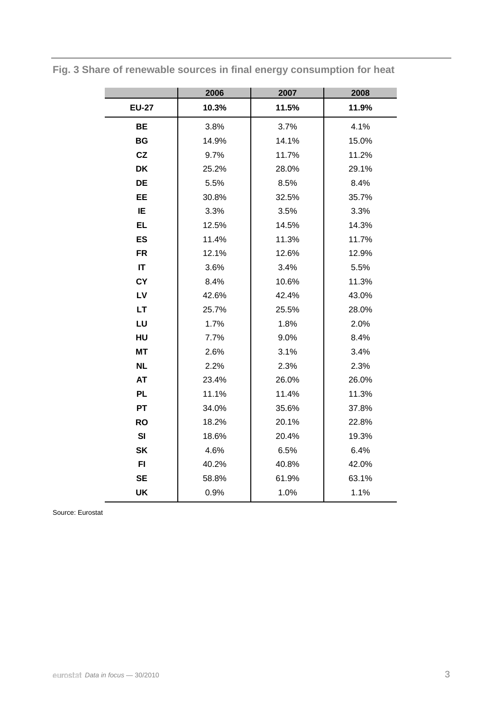|                        | 2006  | 2007  | 2008  |
|------------------------|-------|-------|-------|
| <b>EU-27</b>           | 10.3% | 11.5% | 11.9% |
| <b>BE</b>              | 3.8%  | 3.7%  | 4.1%  |
| <b>BG</b>              | 14.9% | 14.1% | 15.0% |
| CZ                     | 9.7%  | 11.7% | 11.2% |
| <b>DK</b>              | 25.2% | 28.0% | 29.1% |
| <b>DE</b>              | 5.5%  | 8.5%  | 8.4%  |
| <b>EE</b>              | 30.8% | 32.5% | 35.7% |
| IE                     | 3.3%  | 3.5%  | 3.3%  |
| <b>EL</b>              | 12.5% | 14.5% | 14.3% |
| <b>ES</b>              | 11.4% | 11.3% | 11.7% |
| <b>FR</b>              | 12.1% | 12.6% | 12.9% |
| $\mathsf{I}\mathsf{T}$ | 3.6%  | 3.4%  | 5.5%  |
| <b>CY</b>              | 8.4%  | 10.6% | 11.3% |
| LV                     | 42.6% | 42.4% | 43.0% |
| <b>LT</b>              | 25.7% | 25.5% | 28.0% |
| LU                     | 1.7%  | 1.8%  | 2.0%  |
| HU                     | 7.7%  | 9.0%  | 8.4%  |
| <b>MT</b>              | 2.6%  | 3.1%  | 3.4%  |
| <b>NL</b>              | 2.2%  | 2.3%  | 2.3%  |
| <b>AT</b>              | 23.4% | 26.0% | 26.0% |
| <b>PL</b>              | 11.1% | 11.4% | 11.3% |
| <b>PT</b>              | 34.0% | 35.6% | 37.8% |
| <b>RO</b>              | 18.2% | 20.1% | 22.8% |
| SI                     | 18.6% | 20.4% | 19.3% |
| <b>SK</b>              | 4.6%  | 6.5%  | 6.4%  |
| F1                     | 40.2% | 40.8% | 42.0% |
| <b>SE</b>              | 58.8% | 61.9% | 63.1% |
| <b>UK</b>              | 0.9%  | 1.0%  | 1.1%  |

**Fig. 3 Share of renewable sources in final energy consumption for heat** 

Source: Eurostat